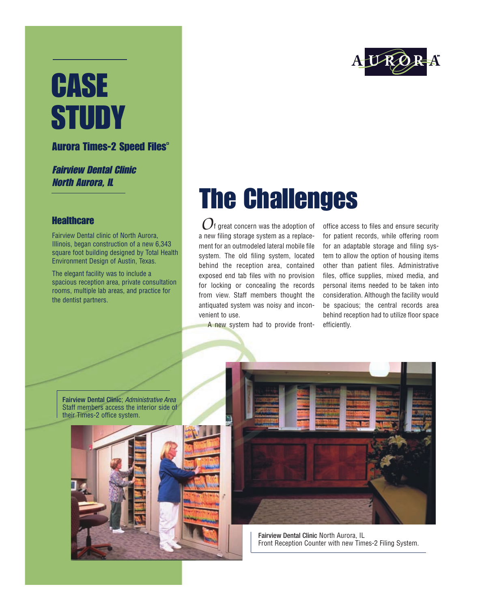# **CASE STUDY**

#### **Aurora Times-2 Speed Files<sup>®</sup>**

#### Fairview Dental Clinic North Aurora, IL

#### **Healthcare**

Fairview Dental clinic of North Aurora, Illinois, began construction of a new 6,343 square foot building designed by Total Health Environment Design of Austin, Texas.

The elegant facility was to include a spacious reception area, private consultation rooms, multiple lab areas, and practice for the dentist partners.

## The Challenges

 $O$ <sup>f</sup> great concern was the adoption of a new filing storage system as a replacement for an outmodeled lateral mobile file system. The old filing system, located behind the reception area, contained exposed end tab files with no provision for locking or concealing the records from view. Staff members thought the antiquated system was noisy and inconvenient to use.

A new system had to provide front-

office access to files and ensure security for patient records, while offering room for an adaptable storage and filing system to allow the option of housing items other than patient files. Administrative files, office supplies, mixed media, and personal items needed to be taken into consideration. Although the facility would be spacious; the central records area behind reception had to utilize floor space efficiently.

Fairview Dental Clinic; *Administrative Area* Staff members access the interior side of their Times-2 office system.





Fairview Dental Clinic North Aurora, IL Front Reception Counter with new Times-2 Filing System.